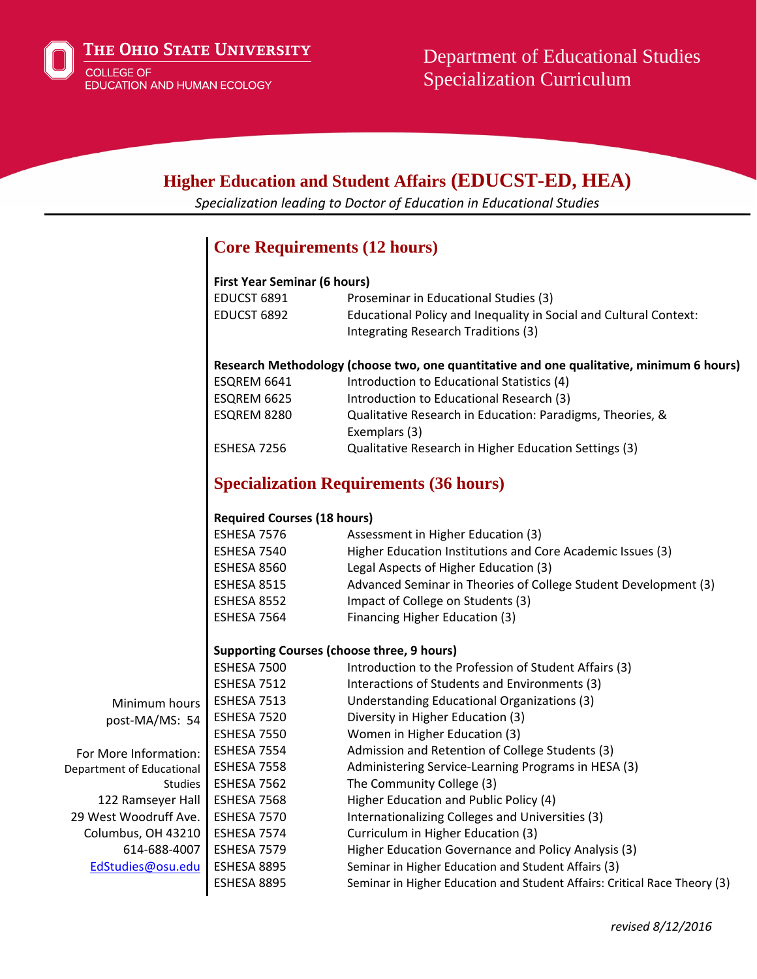

# **Higher Education and Student Affairs (EDUCST-ED, HEA)**

*Specialization leading to Doctor of Education in Educational Studies*

## **Core Requirements (12 hours)**

| <b>First Year Seminar (6 hours)</b>                                                      |                                                                                                          |  |  |
|------------------------------------------------------------------------------------------|----------------------------------------------------------------------------------------------------------|--|--|
| EDUCST 6891                                                                              | Proseminar in Educational Studies (3)                                                                    |  |  |
| EDUCST 6892                                                                              | Educational Policy and Inequality in Social and Cultural Context:<br>Integrating Research Traditions (3) |  |  |
| Research Methodology (choose two, one quantitative and one qualitative, minimum 6 hours) |                                                                                                          |  |  |
| ESQREM 6641                                                                              | Introduction to Educational Statistics (4)                                                               |  |  |
| ESQREM 6625                                                                              | Introduction to Educational Research (3)                                                                 |  |  |
| ESQREM 8280                                                                              | Qualitative Research in Education: Paradigms, Theories, &                                                |  |  |
|                                                                                          | Exemplars (3)                                                                                            |  |  |
| ESHESA 7256                                                                              | Qualitative Research in Higher Education Settings (3)                                                    |  |  |

## **Specialization Requirements (36 hours)**

### **Required Courses (18 hours)**

| ESHESA 7576 | Assessment in Higher Education (3)                              |
|-------------|-----------------------------------------------------------------|
| ESHESA 7540 | Higher Education Institutions and Core Academic Issues (3)      |
| ESHESA 8560 | Legal Aspects of Higher Education (3)                           |
| ESHESA 8515 | Advanced Seminar in Theories of College Student Development (3) |
| ESHESA 8552 | Impact of College on Students (3)                               |
| ESHESA 7564 | Financing Higher Education (3)                                  |

#### **Supporting Courses (choose three, 9 hours)**

|                           | ESHESA 7500 | Introduction to the Profession of Student Affairs (3)                     |
|---------------------------|-------------|---------------------------------------------------------------------------|
|                           | ESHESA 7512 | Interactions of Students and Environments (3)                             |
| Minimum hours             | ESHESA 7513 | Understanding Educational Organizations (3)                               |
| post-MA/MS: 54            | ESHESA 7520 | Diversity in Higher Education (3)                                         |
|                           | ESHESA 7550 | Women in Higher Education (3)                                             |
| For More Information:     | ESHESA 7554 | Admission and Retention of College Students (3)                           |
| Department of Educational | ESHESA 7558 | Administering Service-Learning Programs in HESA (3)                       |
| <b>Studies</b>            | ESHESA 7562 | The Community College (3)                                                 |
| 122 Ramseyer Hall         | ESHESA 7568 | Higher Education and Public Policy (4)                                    |
| 29 West Woodruff Ave.     | ESHESA 7570 | Internationalizing Colleges and Universities (3)                          |
| Columbus, OH 43210        | ESHESA 7574 | Curriculum in Higher Education (3)                                        |
| 614-688-4007              | ESHESA 7579 | Higher Education Governance and Policy Analysis (3)                       |
| EdStudies@osu.edu         | ESHESA 8895 | Seminar in Higher Education and Student Affairs (3)                       |
|                           | ESHESA 8895 | Seminar in Higher Education and Student Affairs: Critical Race Theory (3) |
|                           |             |                                                                           |